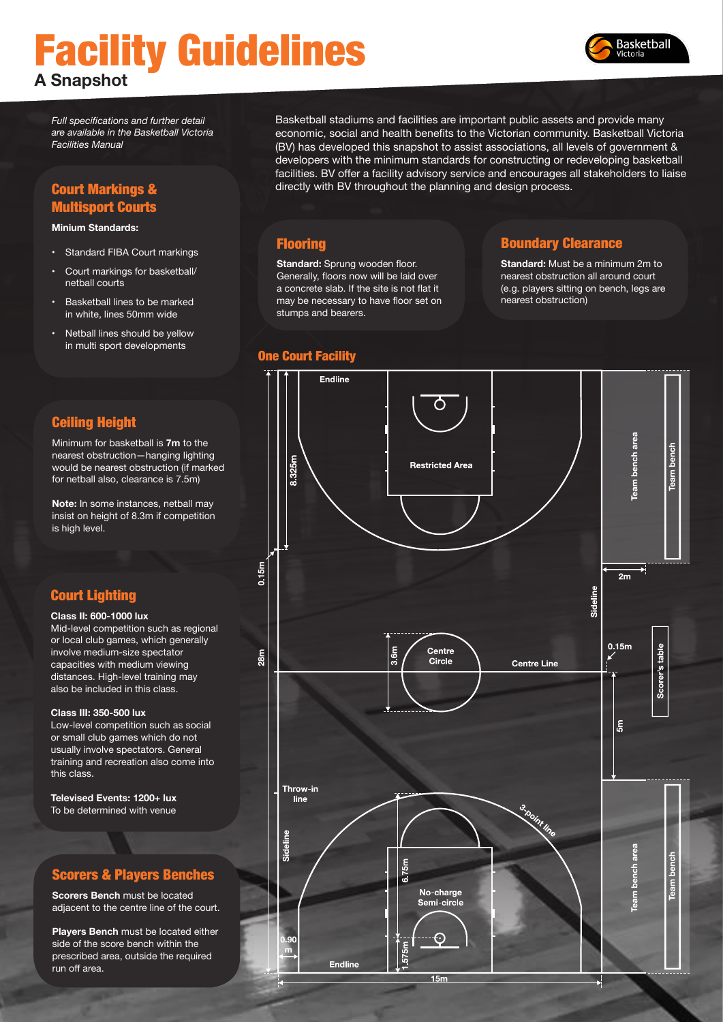# Facility Guidelines **A Snapshot**



*Full specifications and further detail are available in the Basketball Victoria Facilities Manual*

# Court Markings & Multisport Courts

#### **Minium Standards:**

- Standard FIBA Court markings
- Court markings for basketball/ netball courts
- Basketball lines to be marked in white, lines 50mm wide
- Netball lines should be yellow in multi sport developments

#### Ceiling Height

Minimum for basketball is **7m** to the nearest obstruction—hanging lighting would be nearest obstruction (if marked for netball also, clearance is 7.5m)

**Note:** In some instances, netball may insist on height of 8.3m if competition is high level.

## Court Lighting

#### **Class II: 600-1000 lux**

Mid-level competition such as regional or local club games, which generally involve medium-size spectator capacities with medium viewing distances. High-level training may also be included in this class.

#### **Class III: 350-500 lux**

Low-level competition such as social or small club games which do not usually involve spectators. General training and recreation also come into this class.

**Televised Events: 1200+ lux** To be determined with venue

## Scorers & Players Benches

**Scorers Bench** must be located adjacent to the centre line of the court.

**Players Bench** must be located either side of the score bench within the prescribed area, outside the required run off area.

Basketball stadiums and facilities are important public assets and provide many economic, social and health benefits to the Victorian community. Basketball Victoria (BV) has developed this snapshot to assist associations, all levels of government & developers with the minimum standards for constructing or redeveloping basketball facilities. BV offer a facility advisory service and encourages all stakeholders to liaise directly with BV throughout the planning and design process.

## **Flooring**

**Standard: Sprung wooden floor.** Generally, floors now will be laid over a concrete slab. If the site is not flat it may be necessary to have floor set on stumps and bearers.

#### One Court Facility

## Boundary Clearance

**Standard:** Must be a minimum 2m to nearest obstruction all around court (e.g. players sitting on bench, legs are nearest obstruction)